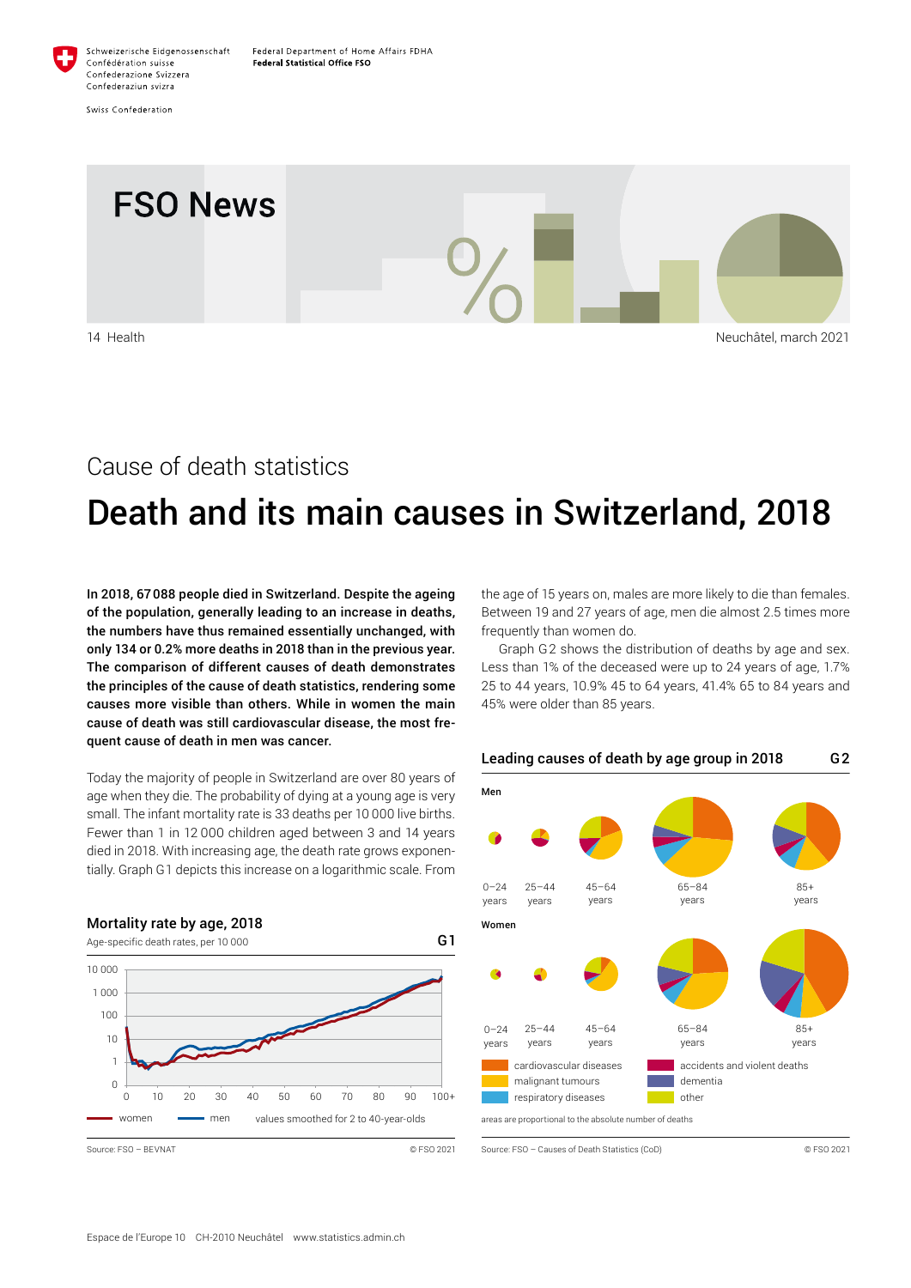

Swiss Confederation



## Cause of death statistics

# Death and its main causes in Switzerland, 2018

In 2018, 67088 people died in Switzerland. Despite the ageing of the population, generally leading to an increase in deaths, the numbers have thus remained essentially unchanged, with only 134 or 0.2% more deaths in 2018 than in the previous year. The comparison of different causes of death demonstrates the principles of the cause of death statistics, rendering some causes more visible than others. While in women the main cause of death was still cardiovascular disease, the most frequent cause of death in men was cancer.

Today the majority of people in Switzerland are over 80 years of age when they die. The probability of dying at a young age is very small. The infant mortality rate is 33 deaths per 10 000 live births. Fewer than 1 in 12 000 children aged between 3 and 14 years died in 2018. With increasing age, the death rate grows exponentially. Graph G1 depicts this increase on a logarithmic scale. From



the age of 15 years on, males are more likely to die than females. Between 19 and 27 years of age, men die almost 2.5 times more frequently than women do.

Graph G2 shows the distribution of deaths by age and sex. Less than 1% of the deceased were up to 24 years of age, 1.7% 25 to 44 years, 10.9% 45 to 64 years, 41.4% 65 to 84 years and 45% were older than 85 years.

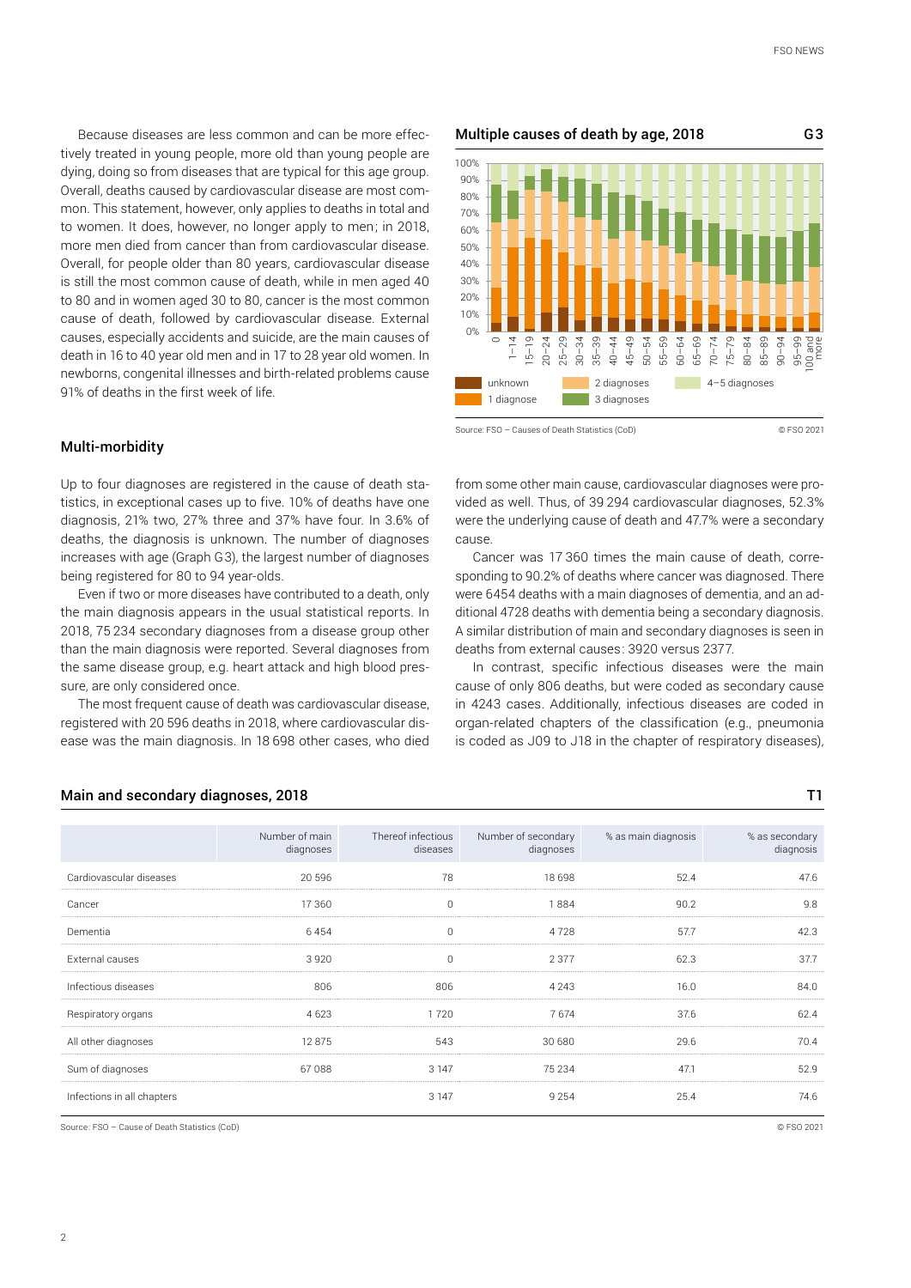Because diseases are less common and can be more effectively treated in young people, more old than young people are dying, doing so from diseases that are typical for this age group. Overall, deaths caused by cardiovascular disease are most common. This statement, however, only applies to deaths in total and to women. It does, however, no longer apply to men; in 2018, more men died from cancer than from cardiovascular disease. Overall, for people older than 80 years, cardiovascular disease is still the most common cause of death, while in men aged 40 to 80 and in women aged 30 to 80, cancer is the most common cause of death, followed by cardiovascular disease. External causes, especially accidents and suicide, are the main causes of death in 16 to 40 year old men and in 17 to 28 year old women. In newborns, congenital illnesses and birth-related problems cause 91% of deaths in the first week of life.

Up to four diagnoses are registered in the cause of death statistics, in exceptional cases up to five. 10% of deaths have one diagnosis, 21% two, 27% three and 37% have four. In 3.6% of deaths, the diagnosis is unknown. The number of diagnoses increases with age (Graph G3), the largest number of diagnoses Multiple causes of death by age, 2018 G3 unknown 1 diagnose 2 diagnoses 3 diagnoses 4–5 diagnoses  $\Omega$ % 10% 20% 30% 40% 50% 60% 70% 80% 90% 100%  $\circ$ 1–14 15–19 20–24 25–29 30–34 35–39 40–44 45–49 50–54 55–59 60–64 65–69 70–74 75–79 80–84 85–89  $\frac{1}{9}$ 95–99 100 and more

Source: FSO – Causes of Death Statistics (CoD) © FSO 2021

from some other main cause, cardiovascular diagnoses were provided as well. Thus, of 39 294 cardiovascular diagnoses, 52.3% were the underlying cause of death and 47.7% were a secondary cause.

Cancer was 17 360 times the main cause of death, corresponding to 90.2% of deaths where cancer was diagnosed. There were 6454 deaths with a main diagnoses of dementia, and an additional 4728 deaths with dementia being a secondary diagnosis. A similar distribution of main and secondary diagnoses is seen in deaths from external causes: 3920 versus 2377.

In contrast, specific infectious diseases were the main cause of only 806 deaths, but were coded as secondary cause in 4243 cases. Additionally, infectious diseases are coded in organ-related chapters of the classification (e.g., pneumonia is coded as J09 to J18 in the chapter of respiratory diseases),

| The most frequent cause of death was cardiovascular disease,     |
|------------------------------------------------------------------|
| registered with 20 596 deaths in 2018, where cardiovascular dis- |
| ease was the main diagnosis. In 18 698 other cases, who died     |

Even if two or more diseases have contributed to a death, only the main diagnosis appears in the usual statistical reports. In 2018, 75 234 secondary diagnoses from a disease group other than the main diagnosis were reported. Several diagnoses from the same disease group, e.g. heart attack and high blood pres-

|                            | Number of main<br>diagnoses | Thereof infectious<br>diseases | Number of secondary<br>diagnoses | % as main diagnosis | % as secondary<br>diagnosis |
|----------------------------|-----------------------------|--------------------------------|----------------------------------|---------------------|-----------------------------|
| Cardiovascular diseases    | 20 596                      | 78                             | 18 698                           | 52.4                | 47.6                        |
| Cancer                     | 17 360                      | $\Omega$                       | 1884                             | 90.2                | 9.8                         |
| Dementia                   | 6454                        | 0                              | 4728                             | 57.7                | 42.3                        |
| External causes            | 3920                        | $\Omega$                       | 2 3 7 7                          | 62.3                | 37.7                        |
| Infectious diseases        | 806                         | 806                            | 4 2 4 3                          | 16.0                | 84.0                        |
| Respiratory organs         | 4 6 2 3                     | 1720                           | 7674                             | 37.6                | 62.4                        |
| All other diagnoses        | 12875                       | 543                            | 30 680                           | 29.6                | 70.4                        |
| Sum of diagnoses           | 67088                       | 3 1 4 7                        | 75 234                           | 47.1                | 52.9                        |
| Infections in all chapters |                             | 3 1 4 7                        | 9 2 5 4                          | 25.4                | 74.6                        |

#### Main and secondary diagnoses, 2018 THE SECONDITY CONSUMING THE SECOND TO THE SECOND THE SECOND THE SECOND THE S

being registered for 80 to 94 year-olds.

sure, are only considered once.

Multi-morbidity

Source: FSO – Cause of Death Statistics (CoD) © FSO 2021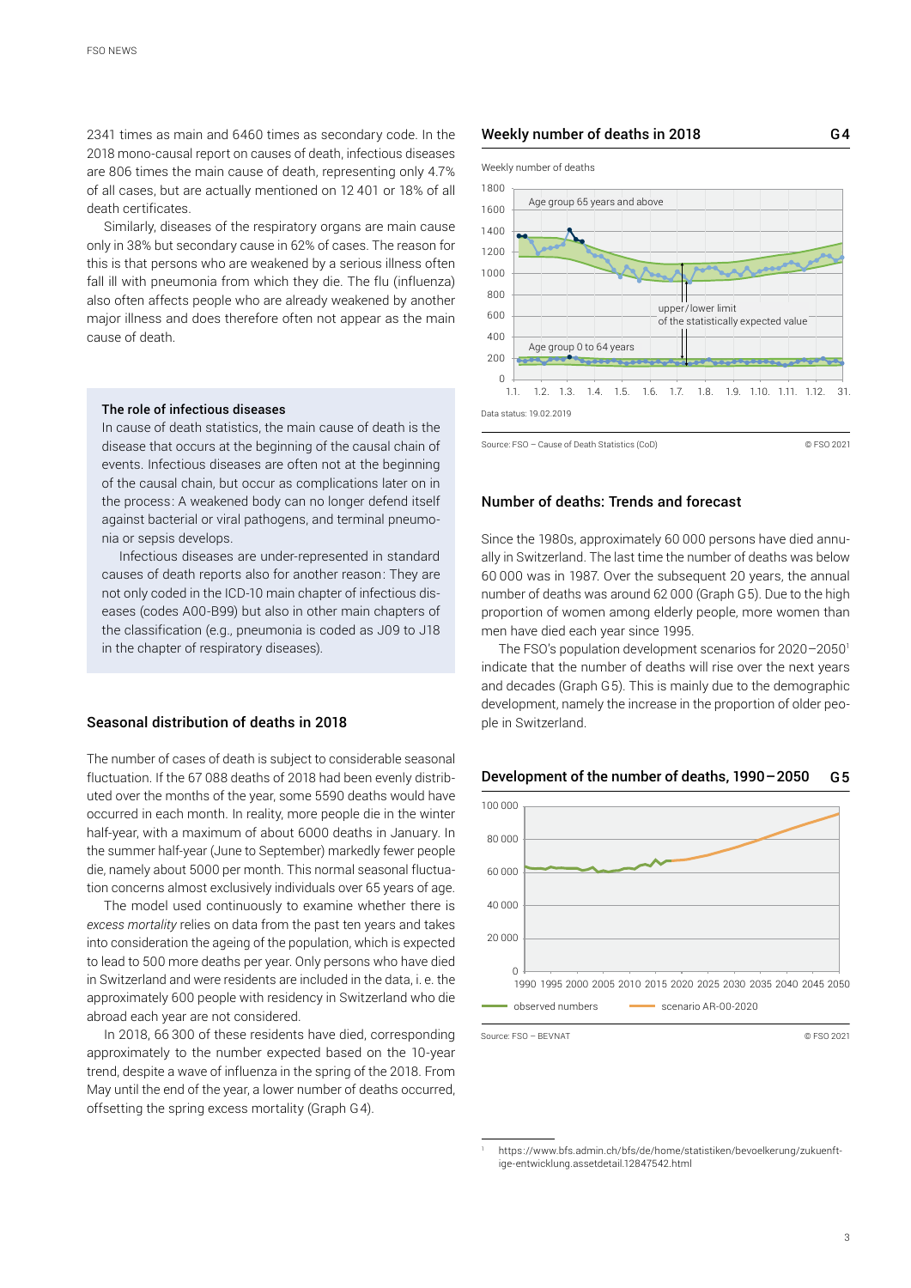2341 times as main and 6460 times as secondary code. In the 2018 mono-causal report on causes of death, infectious diseases are 806 times the main cause of death, representing only 4.7% of all cases, but are actually mentioned on 12 401 or 18% of all death certificates.

Similarly, diseases of the respiratory organs are main cause only in 38% but secondary cause in 62% of cases. The reason for this is that persons who are weakened by a serious illness often fall ill with pneumonia from which they die. The flu (influenza) also often affects people who are already weakened by another major illness and does therefore often not appear as the main cause of death.

#### The role of infectious diseases

In cause of death statistics, the main cause of death is the disease that occurs at the beginning of the causal chain of events. Infectious diseases are often not at the beginning of the causal chain, but occur as complications later on in the process: A weakened body can no longer defend itself against bacterial or viral pathogens, and terminal pneumonia or sepsis develops.

Infectious diseases are under-represented in standard causes of death reports also for another reason: They are not only coded in the ICD-10 main chapter of infectious diseases (codes A00-B99) but also in other main chapters of the classification (e.g., pneumonia is coded as J09 to J18 in the chapter of respiratory diseases).

#### Seasonal distribution of deaths in 2018

The number of cases of death is subject to considerable seasonal fluctuation. If the 67 088 deaths of 2018 had been evenly distributed over the months of the year, some 5590 deaths would have occurred in each month. In reality, more people die in the winter half-year, with a maximum of about 6000 deaths in January. In the summer half-year (June to September) markedly fewer people die, namely about 5000 per month. This normal seasonal fluctuation concerns almost exclusively individuals over 65 years of age.

The model used continuously to examine whether there is *excess mortality* relies on data from the past ten years and takes into consideration the ageing of the population, which is expected to lead to 500 more deaths per year. Only persons who have died in Switzerland and were residents are included in the data, i. e. the approximately 600 people with residency in Switzerland who die abroad each year are not considered.

In 2018, 66 300 of these residents have died, corresponding approximately to the number expected based on the 10-year trend, despite a wave of influenza in the spring of the 2018. From May until the end of the year, a lower number of deaths occurred, offsetting the spring excess mortality (Graph G4).

#### Weekly number of deaths in 2018



Source: FSO – Cause of Death Statistics (CoD) © FSO 2021

#### Number of deaths: Trends and forecast

Since the 1980s, approximately 60 000 persons have died annually in Switzerland. The last time the number of deaths was below 60 000 was in 1987. Over the subsequent 20 years, the annual number of deaths was around 62 000 (Graph G5). Due to the high proportion of women among elderly people, more women than men have died each year since 1995.

The FSO's population development scenarios for 2020-2050<sup>1</sup> indicate that the number of deaths will rise over the next years and decades (Graph G5). This is mainly due to the demographic development, namely the increase in the proportion of older people in Switzerland.





<sup>1</sup> [https://www.bfs.admin.ch/bfs/de/home/statistiken/bevoelkerung/zukuenft](https://www.bfs.admin.ch/bfs/en/home/statistics/population/population-projections.assetdetail.12847542.html)[ige-entwicklung.assetdetail.12847542.html](https://www.bfs.admin.ch/bfs/en/home/statistics/population/population-projections.assetdetail.12847542.html)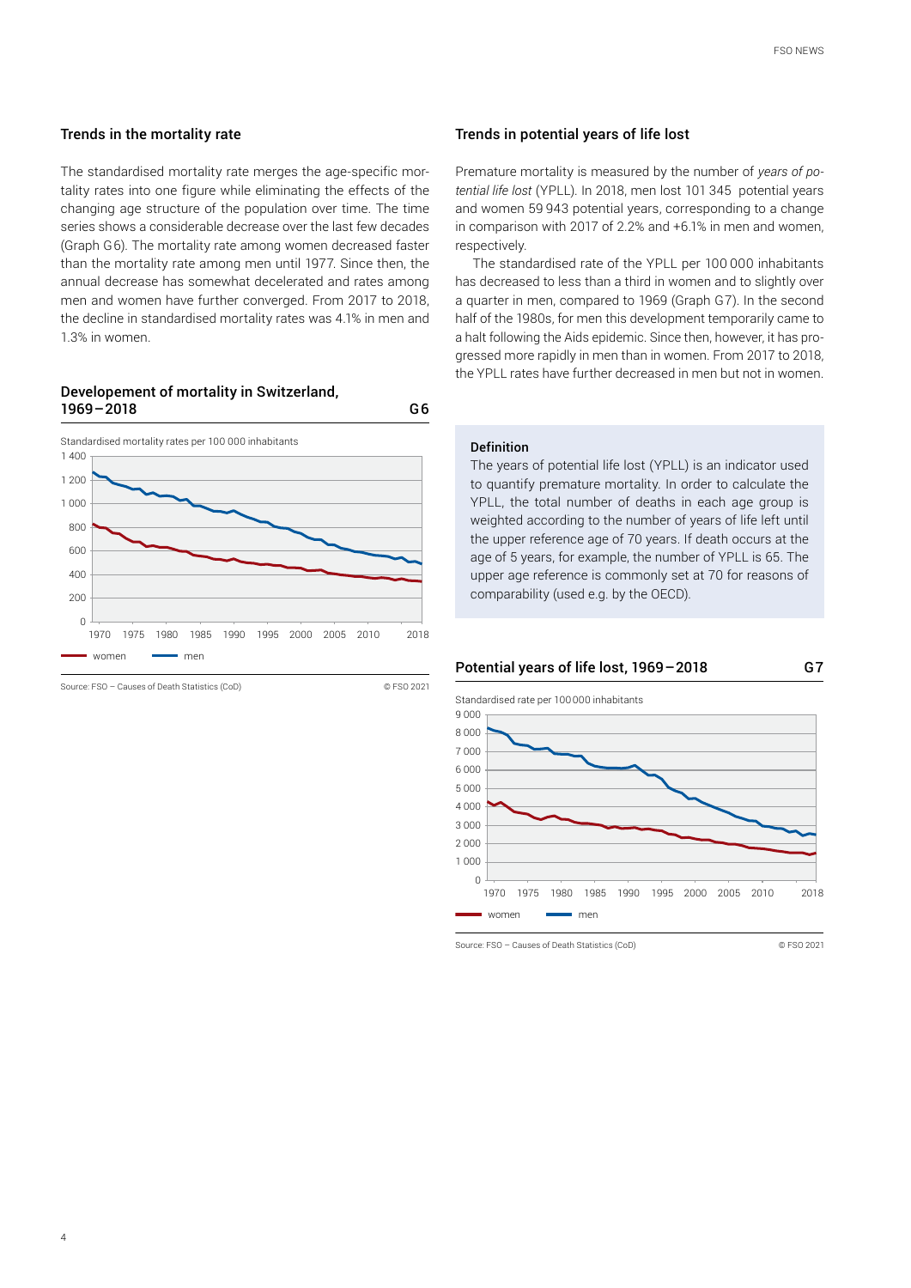#### Trends in the mortality rate

The standardised mortality rate merges the age-specific mortality rates into one figure while eliminating the effects of the changing age structure of the population over time. The time series shows a considerable decrease over the last few decades (Graph G6). The mortality rate among women decreased faster than the mortality rate among men until 1977. Since then, the annual decrease has somewhat decelerated and rates among men and women have further converged. From 2017 to 2018, the decline in standardised mortality rates was 4.1% in men and 1.3% in women.

#### Developement of mortality in Switzerland, 1969–2018 G6



Source: FSO – Causes of Death Statistics (CoD) © FSO 2021

#### Trends in potential years of life lost

Premature mortality is measured by the number of *years of potential life lost* (YPLL). In 2018, men lost 101 345 potential years and women 59 943 potential years, corresponding to a change in comparison with 2017 of 2.2% and +6.1% in men and women, respectively.

The standardised rate of the YPLL per 100 000 inhabitants has decreased to less than a third in women and to slightly over a quarter in men, compared to 1969 (Graph G7). In the second half of the 1980s, for men this development temporarily came to a halt following the Aids epidemic. Since then, however, it has progressed more rapidly in men than in women. From 2017 to 2018, the YPLL rates have further decreased in men but not in women.

#### Definition

The years of potential life lost (YPLL) is an indicator used to quantify premature mortality. In order to calculate the YPLL, the total number of deaths in each age group is weighted according to the number of years of life left until the upper reference age of 70 years. If death occurs at the age of 5 years, for example, the number of YPLL is 65. The upper age reference is commonly set at 70 for reasons of comparability (used e.g. by the OECD).



Standardised rate per 100000 inhabitants



Source: FSO – Causes of Death Statistics (CoD) © FSO 2021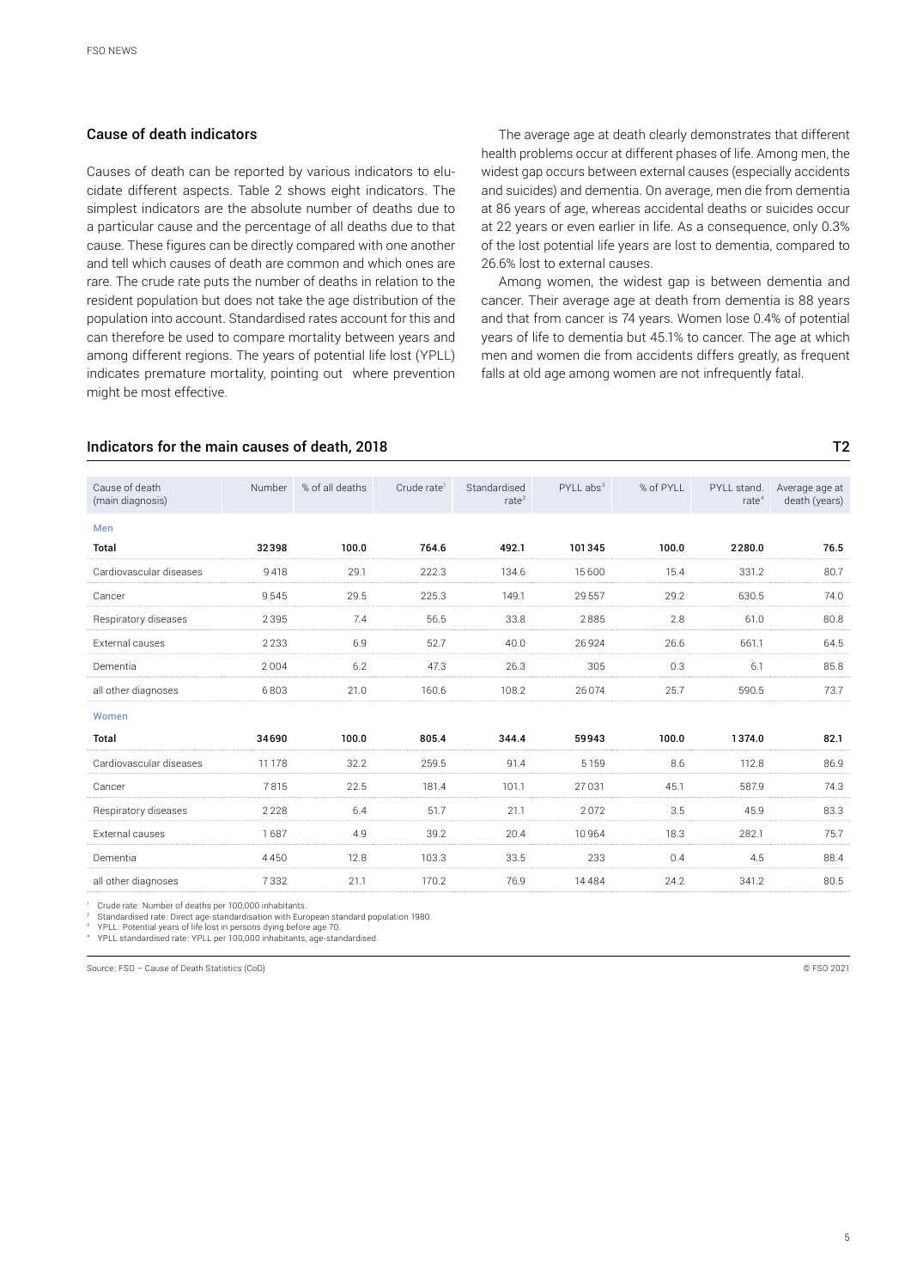#### Cause of death indicators

Causes of death can be reported by various indicators to elucidate different aspects. Table 2 shows eight indicators. The simplest indicators are the absolute number of deaths due to a particular cause and the percentage of all deaths due to that cause. These figures can be directly compared with one another and tell which causes of death are common and which ones are rare. The crude rate puts the number of deaths in relation to the resident population but does not take the age distribution of the population into account. Standardised rates account for this and can therefore be used to compare mortality between years and among different regions. The years of potential life lost (YPLL) indicates premature mortality, pointing out where prevention might be most effective.

The average age at death clearly demonstrates that different health problems occur at different phases of life. Among men, the widest gap occurs between external causes (especially accidents and suicides) and dementia. On average, men die from dementia at 86 years of age, whereas accidental deaths or suicides occur at 22 years or even earlier in life. As a consequence, only 0.3% of the lost potential life years are lost to dementia, compared to 26.6% lost to external causes.

Among women, the widest gap is between dementia and cancer. Their average age at death from dementia is 88 years and that from cancer is 74 years. Women lose 0.4% of potential years of life to dementia but 45.1% to cancer. The age at which men and women die from accidents differs greatly, as frequent falls at old age among women are not infrequently fatal.

#### Indicators for the main causes of death, 2018 The main cause of death, 2018

| Cause of death<br>(main diagnosis) | Number | % of all deaths | Crude rate <sup>1</sup> | Standardised<br>rate <sup>2</sup> | $PYLL$ abs <sup>3</sup> | % of PYLL | PYLL stand.<br>rate <sup>4</sup> | Average age at<br>death (years) |
|------------------------------------|--------|-----------------|-------------------------|-----------------------------------|-------------------------|-----------|----------------------------------|---------------------------------|
| Men                                |        |                 |                         |                                   |                         |           |                                  |                                 |
| Total                              | 32398  | 100.0           | 764.6                   | 492.1                             | 101345                  | 100.0     | 2280.0                           | 76.5                            |
| Cardiovascular diseases            | 9418   | 29.1            | 222.3                   | 134.6                             | 15600                   | 15.4      | 331.2                            | 80.7                            |
| Cancer                             | 9545   | 29.5            | 225.3                   | 149.1                             | 29 5 57                 | 29.2      | 630.5                            | 74.0                            |
| Respiratory diseases               | 2395   | 7.4             | 56.5                    | 33.8                              | 2885                    | 2.8       | 61.0                             | 80.8                            |
| External causes                    | 2233   | 6.9             | 52.7                    | 40.0                              | 26924                   | 26.6      | 661.1                            | 64.5                            |
| Dementia                           | 2004   | 6.2             | 47.3                    | 26.3                              | 305                     | 0.3       | 6.1                              | 85.8                            |
| all other diagnoses                | 6803   | 21.0            | 160.6                   | 108.2                             | 26074                   | 25.7      | 590.5                            | 73.7                            |
| Women                              |        |                 |                         |                                   |                         |           |                                  |                                 |
| <b>Total</b>                       | 34690  | 100.0           | 805.4                   | 344.4                             | 59943                   | 100.0     | 1374.0                           | 82.1                            |
| Cardiovascular diseases            | 11 178 | 32.2            | 259.5                   | 91.4                              | 5 1 5 9                 | 8.6       | 112.8                            | 86.9                            |
| Cancer                             | 7815   | 22.5            | 181.4                   | 101.1                             | 27031                   | 45.1      | 587.9                            | 74.3                            |
| Respiratory diseases               | 2228   | 6.4             | 51.7                    | 21.1                              | 2072                    | 3.5       | 45.9                             | 83.3                            |
| External causes                    | 1687   | 4.9             | 39.2                    | 20.4                              | 10964                   | 18.3      | 282.1                            | 75.7                            |
| Dementia                           | 4450   | 12.8            | 103.3                   | 33.5                              | 233                     | 0.4       | 4.5                              | 88.4                            |
| all other diagnoses                | 7332   | 21.1            | 170.2                   | 76.9                              | 14484                   | 24.2      | 341.2                            | 80.5                            |

Crude rate: Number of deaths per 100,000 inhabitants.

<sup>2</sup> Standardised rate: Direct age-standardisation with European standard population 1980.<br><sup>3</sup> YPLL: Potential years of life lost in persons dying before age 70.

YPLL standardised rate: YPLL per 100,000 inhabitants, age-standardised.

Source: FSO – Cause of Death Statistics (CoD) © FSO 2021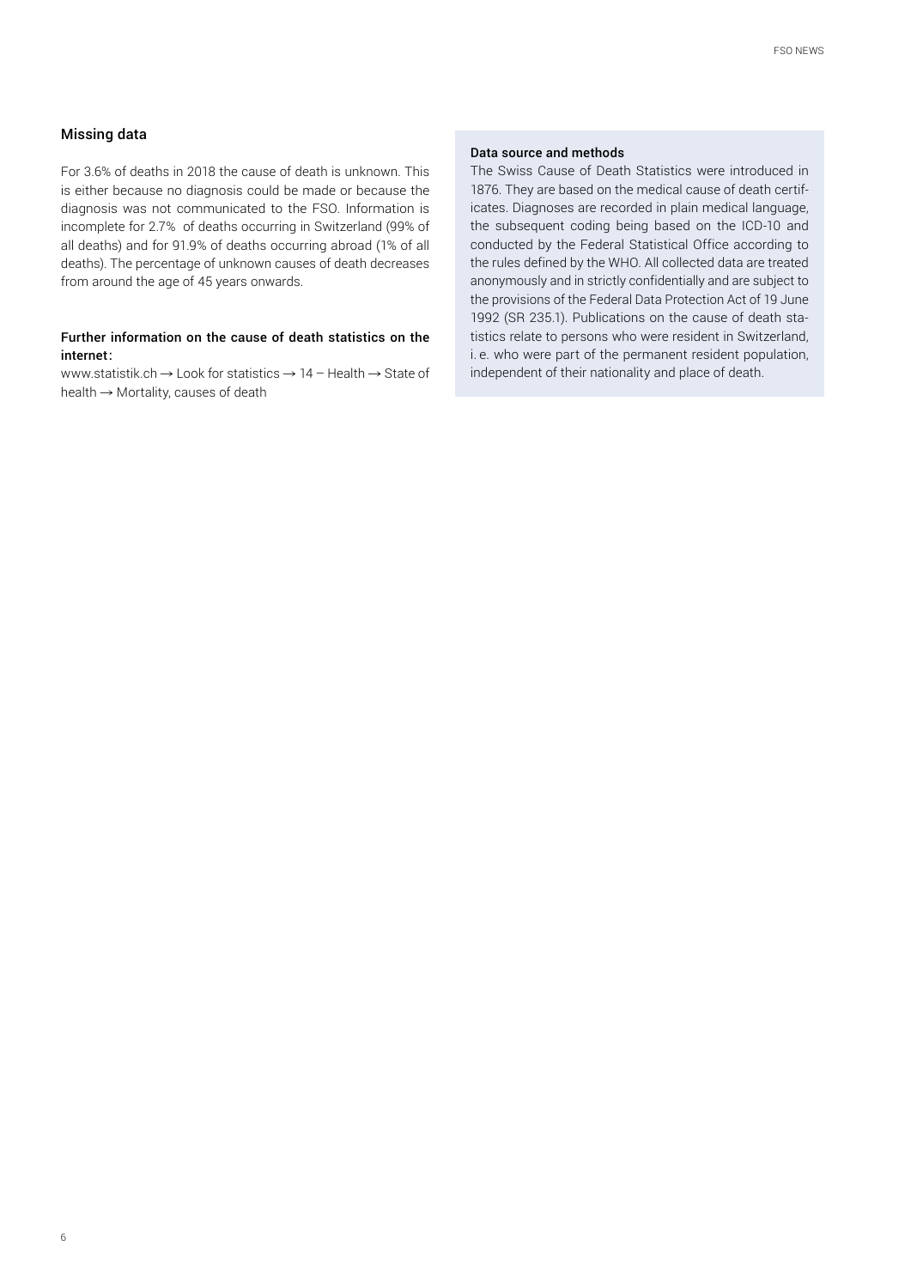#### Missing data

For 3.6% of deaths in 2018 the cause of death is unknown. This is either because no diagnosis could be made or because the diagnosis was not communicated to the FSO. Information is incomplete for 2.7% of deaths occurring in Switzerland (99% of all deaths) and for 91.9% of deaths occurring abroad (1% of all deaths). The percentage of unknown causes of death decreases from around the age of 45 years onwards.

### Further information on the cause of death statistics on the internet:

www.statistik.ch  $\rightarrow$  [Look for statistics](https://www.bfs.admin.ch/bfs/en/home/statistics/health/state-health/mortality-causes-death.html)  $\rightarrow$  14 - Health  $\rightarrow$  State of health  $\rightarrow$  [Mortality, causes of death](https://www.bfs.admin.ch/bfs/en/home/statistics/health/state-health/mortality-causes-death.html)

#### Data source and methods

The Swiss Cause of Death Statistics were introduced in 1876. They are based on the medical cause of death certificates. Diagnoses are recorded in plain medical language, the subsequent coding being based on the ICD-10 and conducted by the Federal Statistical Office according to the rules defined by the WHO. All collected data are treated anonymously and in strictly confidentially and are subject to the provisions of the Federal Data Protection Act of 19 June 1992 (SR 235.1). Publications on the cause of death statistics relate to persons who were resident in Switzerland, i. e. who were part of the permanent resident population, independent of their nationality and place of death.